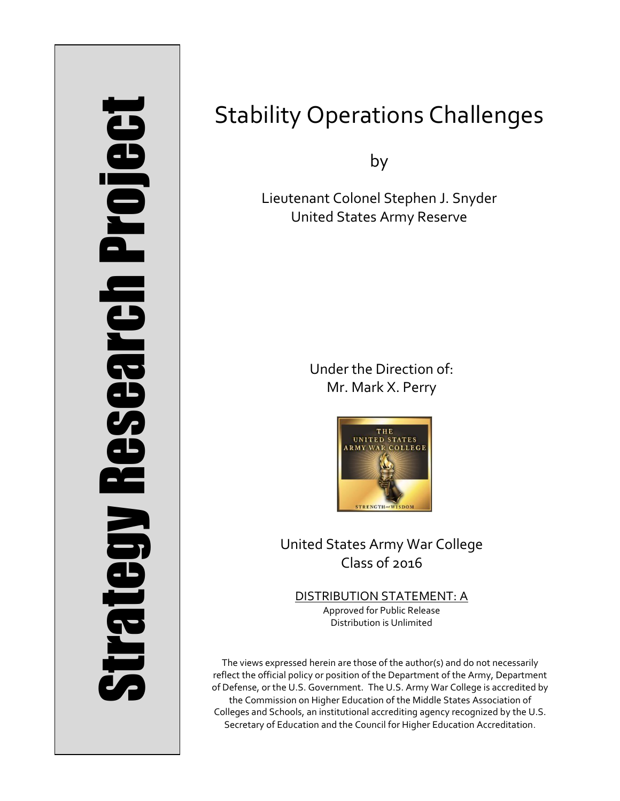# Strategy Research Project **Strategy Research Project**

# Stability Operations Challenges

by

Lieutenant Colonel Stephen J. Snyder United States Army Reserve

> Under the Direction of: Mr. Mark X. Perry



United States Army War College Class of 2016

DISTRIBUTION STATEMENT: A Approved for Public Release Distribution is Unlimited

The views expressed herein are those of the author(s) and do not necessarily reflect the official policy or position of the Department of the Army, Department of Defense, or the U.S. Government. The U.S. Army War College is accredited by the Commission on Higher Education of the Middle States Association of Colleges and Schools, an institutional accrediting agency recognized by the U.S. Secretary of Education and the Council for Higher Education Accreditation.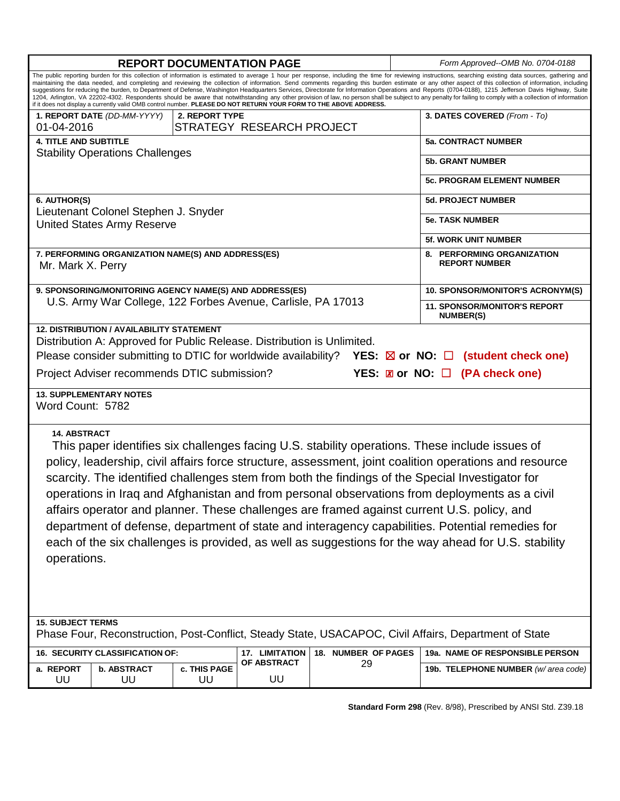| <b>REPORT DOCUMENTATION PAGE</b>                                                                                                                                                                                                                                                                                                                                                                                                                                                                                                                                                                                                                                                                                                                                                                                                                                                                                                                                  |                                 |                    |                                     |                           |  | Form Approved--OMB No. 0704-0188                   |  |
|-------------------------------------------------------------------------------------------------------------------------------------------------------------------------------------------------------------------------------------------------------------------------------------------------------------------------------------------------------------------------------------------------------------------------------------------------------------------------------------------------------------------------------------------------------------------------------------------------------------------------------------------------------------------------------------------------------------------------------------------------------------------------------------------------------------------------------------------------------------------------------------------------------------------------------------------------------------------|---------------------------------|--------------------|-------------------------------------|---------------------------|--|----------------------------------------------------|--|
| The public reporting burden for this collection of information is estimated to average 1 hour per response, including the time for reviewing instructions, searching existing data sources, gathering and<br>maintaining the data needed, and completing and reviewing the collection of information. Send comments regarding this burden estimate or any other aspect of this collection of information, including<br>suggestions for reducing the burden, to Department of Defense, Washington Headquarters Services, Directorate for Information Operations and Reports (0704-0188), 1215 Jefferson Davis Highway, Suite<br>1204, Arlington, VA 22202-4302. Respondents should be aware that notwithstanding any other provision of law, no person shall be subject to any penalty for failing to comply with a collection of information<br>if it does not display a currently valid OMB control number. PLEASE DO NOT RETURN YOUR FORM TO THE ABOVE ADDRESS. |                                 |                    |                                     |                           |  |                                                    |  |
| 1. REPORT DATE (DD-MM-YYYY)<br>2. REPORT TYPE                                                                                                                                                                                                                                                                                                                                                                                                                                                                                                                                                                                                                                                                                                                                                                                                                                                                                                                     |                                 |                    |                                     |                           |  | 3. DATES COVERED (From - To)                       |  |
| STRATEGY RESEARCH PROJECT<br>01-04-2016                                                                                                                                                                                                                                                                                                                                                                                                                                                                                                                                                                                                                                                                                                                                                                                                                                                                                                                           |                                 |                    |                                     |                           |  |                                                    |  |
| <b>4. TITLE AND SUBTITLE</b><br><b>Stability Operations Challenges</b>                                                                                                                                                                                                                                                                                                                                                                                                                                                                                                                                                                                                                                                                                                                                                                                                                                                                                            |                                 |                    |                                     |                           |  | <b>5a. CONTRACT NUMBER</b>                         |  |
|                                                                                                                                                                                                                                                                                                                                                                                                                                                                                                                                                                                                                                                                                                                                                                                                                                                                                                                                                                   |                                 |                    |                                     |                           |  | <b>5b. GRANT NUMBER</b>                            |  |
|                                                                                                                                                                                                                                                                                                                                                                                                                                                                                                                                                                                                                                                                                                                                                                                                                                                                                                                                                                   |                                 |                    |                                     |                           |  | 5c. PROGRAM ELEMENT NUMBER                         |  |
| 6. AUTHOR(S)                                                                                                                                                                                                                                                                                                                                                                                                                                                                                                                                                                                                                                                                                                                                                                                                                                                                                                                                                      |                                 |                    |                                     |                           |  | <b>5d. PROJECT NUMBER</b>                          |  |
| Lieutenant Colonel Stephen J. Snyder<br><b>United States Army Reserve</b>                                                                                                                                                                                                                                                                                                                                                                                                                                                                                                                                                                                                                                                                                                                                                                                                                                                                                         |                                 |                    |                                     |                           |  | <b>5e. TASK NUMBER</b>                             |  |
|                                                                                                                                                                                                                                                                                                                                                                                                                                                                                                                                                                                                                                                                                                                                                                                                                                                                                                                                                                   |                                 |                    |                                     |                           |  | <b>5f. WORK UNIT NUMBER</b>                        |  |
| 7. PERFORMING ORGANIZATION NAME(S) AND ADDRESS(ES)<br>Mr. Mark X. Perry                                                                                                                                                                                                                                                                                                                                                                                                                                                                                                                                                                                                                                                                                                                                                                                                                                                                                           |                                 |                    |                                     |                           |  | 8. PERFORMING ORGANIZATION<br><b>REPORT NUMBER</b> |  |
| 9. SPONSORING/MONITORING AGENCY NAME(S) AND ADDRESS(ES)                                                                                                                                                                                                                                                                                                                                                                                                                                                                                                                                                                                                                                                                                                                                                                                                                                                                                                           |                                 |                    |                                     |                           |  | 10. SPONSOR/MONITOR'S ACRONYM(S)                   |  |
| U.S. Army War College, 122 Forbes Avenue, Carlisle, PA 17013                                                                                                                                                                                                                                                                                                                                                                                                                                                                                                                                                                                                                                                                                                                                                                                                                                                                                                      |                                 |                    |                                     |                           |  | 11. SPONSOR/MONITOR'S REPORT<br><b>NUMBER(S)</b>   |  |
| <b>12. DISTRIBUTION / AVAILABILITY STATEMENT</b><br>Distribution A: Approved for Public Release. Distribution is Unlimited.<br>Please consider submitting to DTIC for worldwide availability? YES: $\boxtimes$ or NO: $\Box$ (student check one)<br>YES: <b>Z</b> or NO: □ (PA check one)<br>Project Adviser recommends DTIC submission?                                                                                                                                                                                                                                                                                                                                                                                                                                                                                                                                                                                                                          |                                 |                    |                                     |                           |  |                                                    |  |
| <b>13. SUPPLEMENTARY NOTES</b>                                                                                                                                                                                                                                                                                                                                                                                                                                                                                                                                                                                                                                                                                                                                                                                                                                                                                                                                    |                                 |                    |                                     |                           |  |                                                    |  |
| Word Count: 5782                                                                                                                                                                                                                                                                                                                                                                                                                                                                                                                                                                                                                                                                                                                                                                                                                                                                                                                                                  |                                 |                    |                                     |                           |  |                                                    |  |
| <b>14. ABSTRACT</b><br>This paper identifies six challenges facing U.S. stability operations. These include issues of<br>policy, leadership, civil affairs force structure, assessment, joint coalition operations and resource<br>scarcity. The identified challenges stem from both the findings of the Special Investigator for<br>operations in Iraq and Afghanistan and from personal observations from deployments as a civil<br>affairs operator and planner. These challenges are framed against current U.S. policy, and<br>department of defense, department of state and interagency capabilities. Potential remedies for<br>each of the six challenges is provided, as well as suggestions for the way ahead for U.S. stability<br>operations.                                                                                                                                                                                                        |                                 |                    |                                     |                           |  |                                                    |  |
| <b>15. SUBJECT TERMS</b><br>Phase Four, Reconstruction, Post-Conflict, Steady State, USACAPOC, Civil Affairs, Department of State                                                                                                                                                                                                                                                                                                                                                                                                                                                                                                                                                                                                                                                                                                                                                                                                                                 |                                 |                    |                                     |                           |  |                                                    |  |
|                                                                                                                                                                                                                                                                                                                                                                                                                                                                                                                                                                                                                                                                                                                                                                                                                                                                                                                                                                   | 16. SECURITY CLASSIFICATION OF: |                    | 17. LIMITATION<br>OF ABSTRACT<br>UU | 18. NUMBER OF PAGES<br>29 |  | 19a. NAME OF RESPONSIBLE PERSON                    |  |
| a. REPORT<br>UU                                                                                                                                                                                                                                                                                                                                                                                                                                                                                                                                                                                                                                                                                                                                                                                                                                                                                                                                                   | <b>b. ABSTRACT</b><br>UU        | c. THIS PAGE<br>UU |                                     |                           |  | 19b. TELEPHONE NUMBER (w/area code)                |  |
|                                                                                                                                                                                                                                                                                                                                                                                                                                                                                                                                                                                                                                                                                                                                                                                                                                                                                                                                                                   |                                 |                    |                                     |                           |  |                                                    |  |

**Standard Form 298** (Rev. 8/98), Prescribed by ANSI Std. Z39.18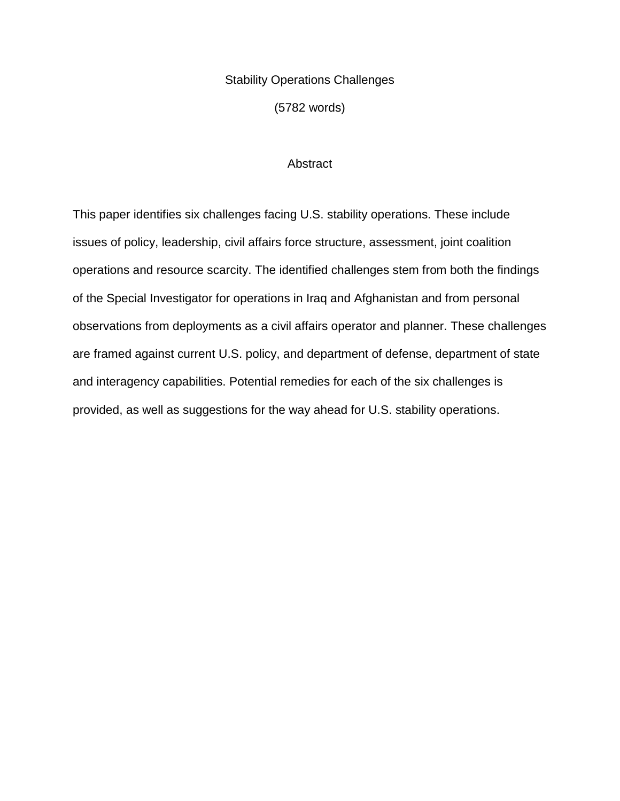# Stability Operations Challenges

(5782 words)

# **Abstract**

This paper identifies six challenges facing U.S. stability operations. These include issues of policy, leadership, civil affairs force structure, assessment, joint coalition operations and resource scarcity. The identified challenges stem from both the findings of the Special Investigator for operations in Iraq and Afghanistan and from personal observations from deployments as a civil affairs operator and planner. These challenges are framed against current U.S. policy, and department of defense, department of state and interagency capabilities. Potential remedies for each of the six challenges is provided, as well as suggestions for the way ahead for U.S. stability operations.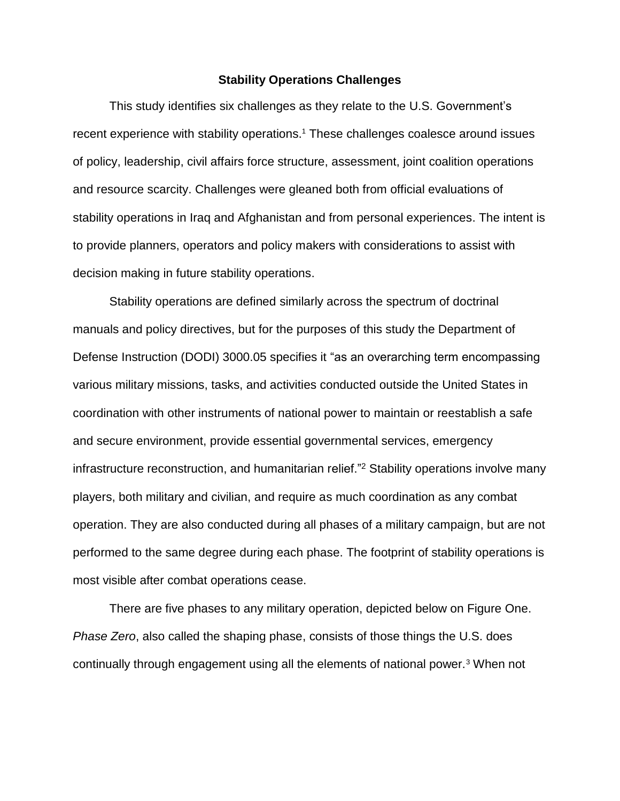# **Stability Operations Challenges**

This study identifies six challenges as they relate to the U.S. Government's recent experience with stability operations. <sup>1</sup> These challenges coalesce around issues of policy, leadership, civil affairs force structure, assessment, joint coalition operations and resource scarcity. Challenges were gleaned both from official evaluations of stability operations in Iraq and Afghanistan and from personal experiences. The intent is to provide planners, operators and policy makers with considerations to assist with decision making in future stability operations.

Stability operations are defined similarly across the spectrum of doctrinal manuals and policy directives, but for the purposes of this study the Department of Defense Instruction (DODI) 3000.05 specifies it "as an overarching term encompassing various military missions, tasks, and activities conducted outside the United States in coordination with other instruments of national power to maintain or reestablish a safe and secure environment, provide essential governmental services, emergency infrastructure reconstruction, and humanitarian relief."<sup>2</sup> Stability operations involve many players, both military and civilian, and require as much coordination as any combat operation. They are also conducted during all phases of a military campaign, but are not performed to the same degree during each phase. The footprint of stability operations is most visible after combat operations cease.

There are five phases to any military operation, depicted below on Figure One. *Phase Zero*, also called the shaping phase, consists of those things the U.S. does continually through engagement using all the elements of national power.<sup>3</sup> When not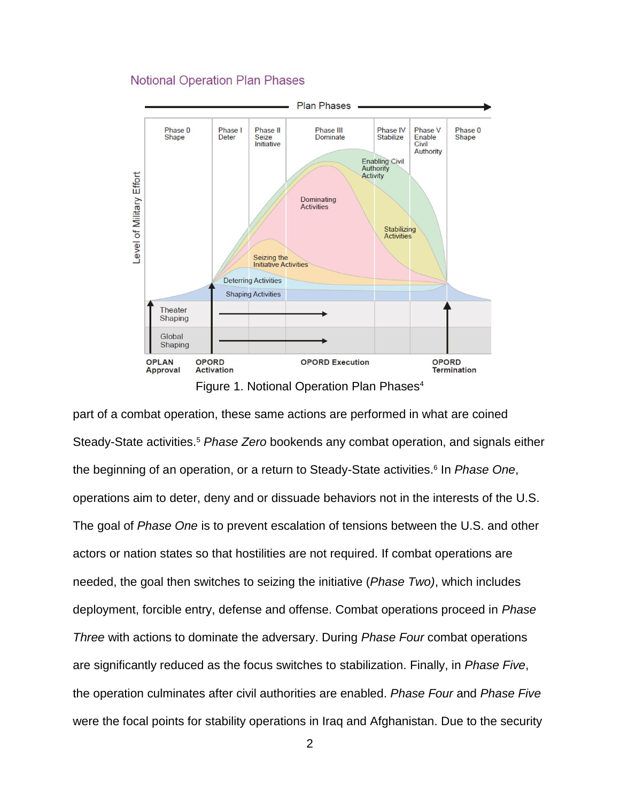# **Notional Operation Plan Phases**



Figure 1. Notional Operation Plan Phases<sup>4</sup>

part of a combat operation, these same actions are performed in what are coined Steady-State activities.<sup>5</sup> *Phase Zero* bookends any combat operation, and signals either the beginning of an operation, or a return to Steady-State activities.<sup>6</sup> In *Phase One*, operations aim to deter, deny and or dissuade behaviors not in the interests of the U.S. The goal of *Phase One* is to prevent escalation of tensions between the U.S. and other actors or nation states so that hostilities are not required. If combat operations are needed, the goal then switches to seizing the initiative (*Phase Two)*, which includes deployment, forcible entry, defense and offense. Combat operations proceed in *Phase Three* with actions to dominate the adversary. During *Phase Four* combat operations are significantly reduced as the focus switches to stabilization. Finally, in *Phase Five*, the operation culminates after civil authorities are enabled. *Phase Four* and *Phase Five* were the focal points for stability operations in Iraq and Afghanistan. Due to the security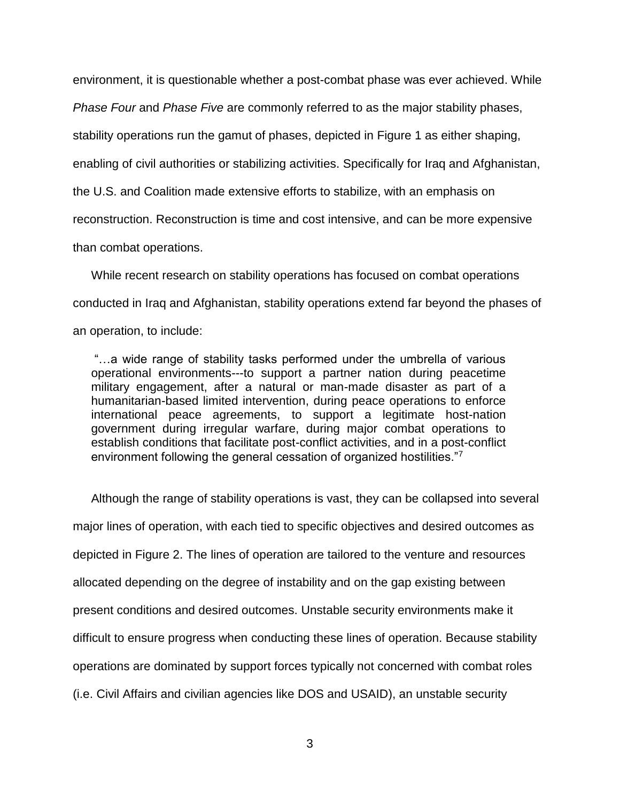environment, it is questionable whether a post-combat phase was ever achieved. While

*Phase Four* and *Phase Five* are commonly referred to as the major stability phases,

stability operations run the gamut of phases, depicted in Figure 1 as either shaping,

enabling of civil authorities or stabilizing activities. Specifically for Iraq and Afghanistan,

the U.S. and Coalition made extensive efforts to stabilize, with an emphasis on

reconstruction. Reconstruction is time and cost intensive, and can be more expensive

than combat operations.

While recent research on stability operations has focused on combat operations conducted in Iraq and Afghanistan, stability operations extend far beyond the phases of an operation, to include:

"…a wide range of stability tasks performed under the umbrella of various operational environments---to support a partner nation during peacetime military engagement, after a natural or man-made disaster as part of a humanitarian-based limited intervention, during peace operations to enforce international peace agreements, to support a legitimate host-nation government during irregular warfare, during major combat operations to establish conditions that facilitate post-conflict activities, and in a post-conflict environment following the general cessation of organized hostilities."<sup>7</sup>

Although the range of stability operations is vast, they can be collapsed into several major lines of operation, with each tied to specific objectives and desired outcomes as depicted in Figure 2. The lines of operation are tailored to the venture and resources allocated depending on the degree of instability and on the gap existing between present conditions and desired outcomes. Unstable security environments make it difficult to ensure progress when conducting these lines of operation. Because stability operations are dominated by support forces typically not concerned with combat roles (i.e. Civil Affairs and civilian agencies like DOS and USAID), an unstable security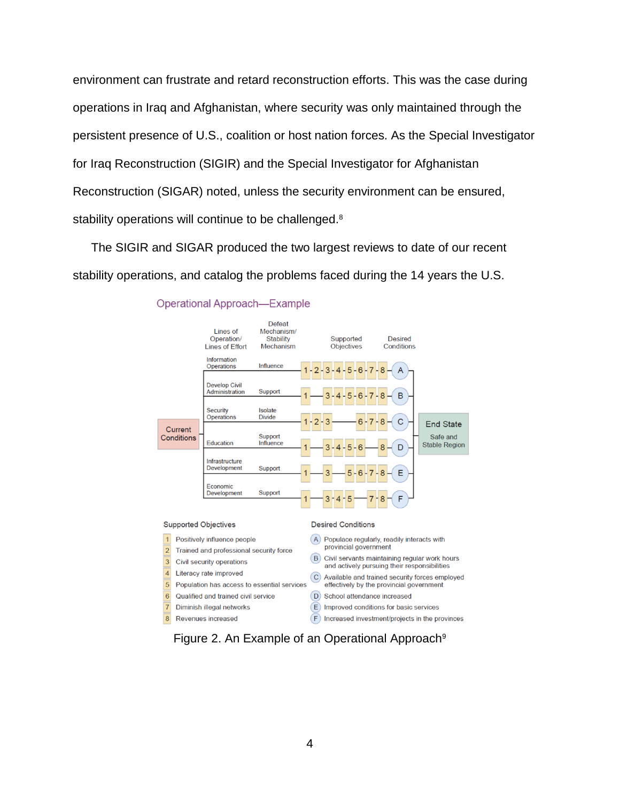environment can frustrate and retard reconstruction efforts. This was the case during operations in Iraq and Afghanistan, where security was only maintained through the persistent presence of U.S., coalition or host nation forces. As the Special Investigator for Iraq Reconstruction (SIGIR) and the Special Investigator for Afghanistan Reconstruction (SIGAR) noted, unless the security environment can be ensured, stability operations will continue to be challenged.<sup>8</sup>

The SIGIR and SIGAR produced the two largest reviews to date of our recent stability operations, and catalog the problems faced during the 14 years the U.S.



### **Operational Approach-Example**

Figure 2. An Example of an Operational Approach<sup>9</sup>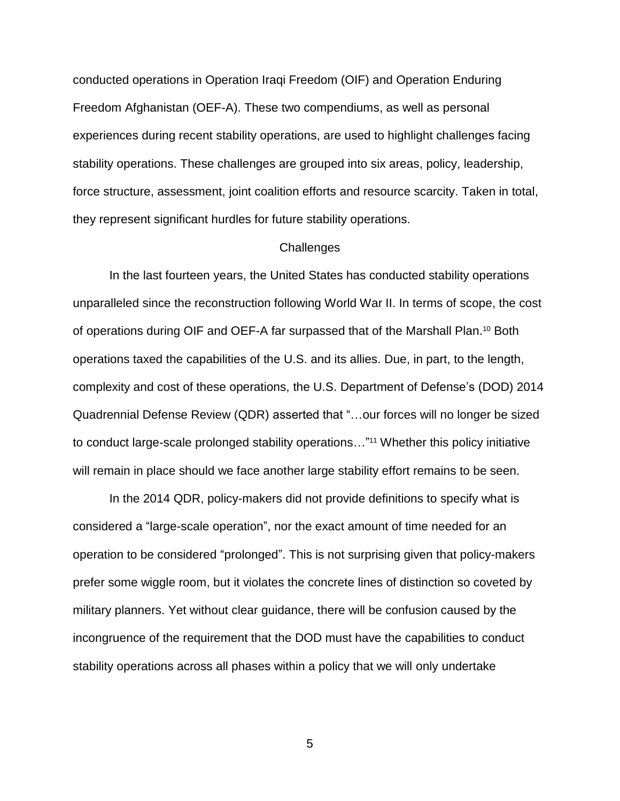conducted operations in Operation Iraqi Freedom (OIF) and Operation Enduring Freedom Afghanistan (OEF-A). These two compendiums, as well as personal experiences during recent stability operations, are used to highlight challenges facing stability operations. These challenges are grouped into six areas, policy, leadership, force structure, assessment, joint coalition efforts and resource scarcity. Taken in total, they represent significant hurdles for future stability operations.

### **Challenges**

In the last fourteen years, the United States has conducted stability operations unparalleled since the reconstruction following World War II. In terms of scope, the cost of operations during OIF and OEF-A far surpassed that of the Marshall Plan.<sup>10</sup> Both operations taxed the capabilities of the U.S. and its allies. Due, in part, to the length, complexity and cost of these operations, the U.S. Department of Defense's (DOD) 2014 Quadrennial Defense Review (QDR) asserted that "…our forces will no longer be sized to conduct large-scale prolonged stability operations..."<sup>11</sup> Whether this policy initiative will remain in place should we face another large stability effort remains to be seen.

In the 2014 QDR, policy-makers did not provide definitions to specify what is considered a "large-scale operation", nor the exact amount of time needed for an operation to be considered "prolonged". This is not surprising given that policy-makers prefer some wiggle room, but it violates the concrete lines of distinction so coveted by military planners. Yet without clear guidance, there will be confusion caused by the incongruence of the requirement that the DOD must have the capabilities to conduct stability operations across all phases within a policy that we will only undertake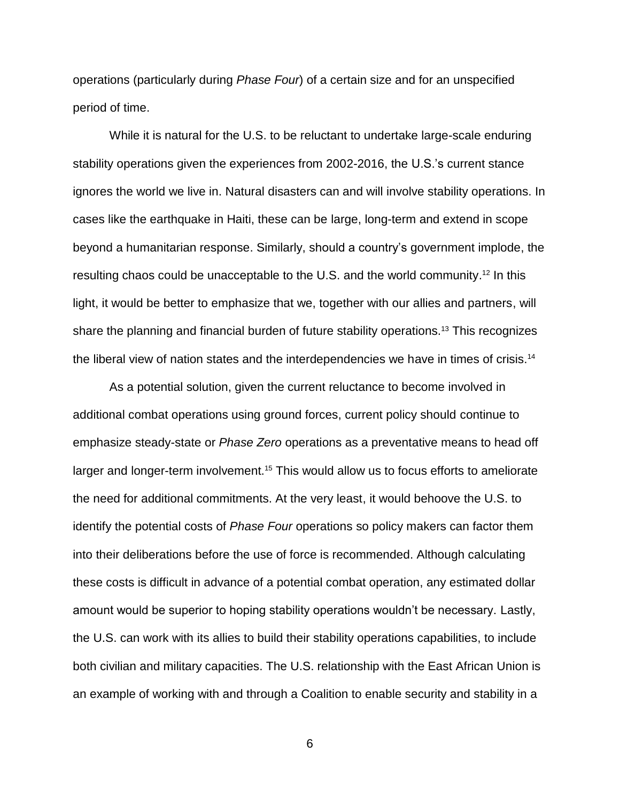operations (particularly during *Phase Four*) of a certain size and for an unspecified period of time.

While it is natural for the U.S. to be reluctant to undertake large-scale enduring stability operations given the experiences from 2002-2016, the U.S.'s current stance ignores the world we live in. Natural disasters can and will involve stability operations. In cases like the earthquake in Haiti, these can be large, long-term and extend in scope beyond a humanitarian response. Similarly, should a country's government implode, the resulting chaos could be unacceptable to the U.S. and the world community.<sup>12</sup> In this light, it would be better to emphasize that we, together with our allies and partners, will share the planning and financial burden of future stability operations.<sup>13</sup> This recognizes the liberal view of nation states and the interdependencies we have in times of crisis.<sup>14</sup>

As a potential solution, given the current reluctance to become involved in additional combat operations using ground forces, current policy should continue to emphasize steady-state or *Phase Zero* operations as a preventative means to head off larger and longer-term involvement.<sup>15</sup> This would allow us to focus efforts to ameliorate the need for additional commitments. At the very least, it would behoove the U.S. to identify the potential costs of *Phase Four* operations so policy makers can factor them into their deliberations before the use of force is recommended. Although calculating these costs is difficult in advance of a potential combat operation, any estimated dollar amount would be superior to hoping stability operations wouldn't be necessary. Lastly, the U.S. can work with its allies to build their stability operations capabilities, to include both civilian and military capacities. The U.S. relationship with the East African Union is an example of working with and through a Coalition to enable security and stability in a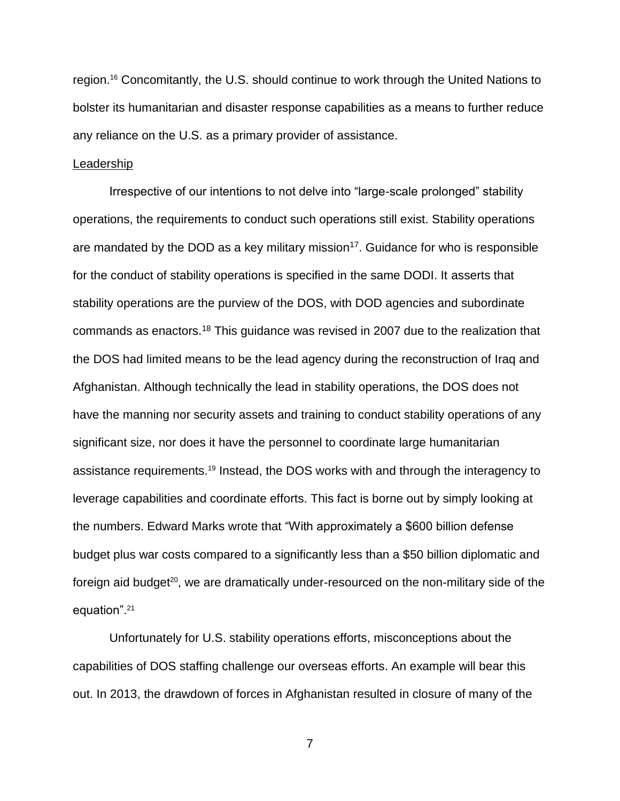region.<sup>16</sup> Concomitantly, the U.S. should continue to work through the United Nations to bolster its humanitarian and disaster response capabilities as a means to further reduce any reliance on the U.S. as a primary provider of assistance.

### Leadership

Irrespective of our intentions to not delve into "large-scale prolonged" stability operations, the requirements to conduct such operations still exist. Stability operations are mandated by the DOD as a key military mission<sup>17</sup>. Guidance for who is responsible for the conduct of stability operations is specified in the same DODI. It asserts that stability operations are the purview of the DOS, with DOD agencies and subordinate commands as enactors.<sup>18</sup> This guidance was revised in 2007 due to the realization that the DOS had limited means to be the lead agency during the reconstruction of Iraq and Afghanistan. Although technically the lead in stability operations, the DOS does not have the manning nor security assets and training to conduct stability operations of any significant size, nor does it have the personnel to coordinate large humanitarian assistance requirements.<sup>19</sup> Instead, the DOS works with and through the interagency to leverage capabilities and coordinate efforts. This fact is borne out by simply looking at the numbers. Edward Marks wrote that "With approximately a \$600 billion defense budget plus war costs compared to a significantly less than a \$50 billion diplomatic and foreign aid budget<sup>20</sup>, we are dramatically under-resourced on the non-military side of the equation".<sup>21</sup>

Unfortunately for U.S. stability operations efforts, misconceptions about the capabilities of DOS staffing challenge our overseas efforts. An example will bear this out. In 2013, the drawdown of forces in Afghanistan resulted in closure of many of the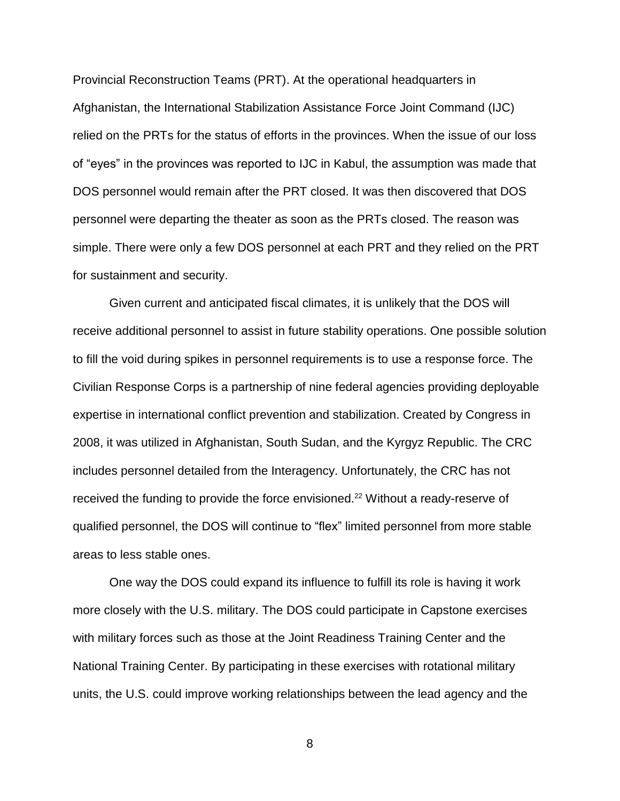Provincial Reconstruction Teams (PRT). At the operational headquarters in Afghanistan, the International Stabilization Assistance Force Joint Command (IJC) relied on the PRTs for the status of efforts in the provinces. When the issue of our loss of "eyes" in the provinces was reported to IJC in Kabul, the assumption was made that DOS personnel would remain after the PRT closed. It was then discovered that DOS personnel were departing the theater as soon as the PRTs closed. The reason was simple. There were only a few DOS personnel at each PRT and they relied on the PRT for sustainment and security.

Given current and anticipated fiscal climates, it is unlikely that the DOS will receive additional personnel to assist in future stability operations. One possible solution to fill the void during spikes in personnel requirements is to use a response force. The Civilian Response Corps is a partnership of nine federal agencies providing deployable expertise in international conflict prevention and stabilization. Created by Congress in 2008, it was utilized in Afghanistan, South Sudan, and the Kyrgyz Republic. The CRC includes personnel detailed from the Interagency. Unfortunately, the CRC has not received the funding to provide the force envisioned.<sup>22</sup> Without a ready-reserve of qualified personnel, the DOS will continue to "flex" limited personnel from more stable areas to less stable ones.

One way the DOS could expand its influence to fulfill its role is having it work more closely with the U.S. military. The DOS could participate in Capstone exercises with military forces such as those at the Joint Readiness Training Center and the National Training Center. By participating in these exercises with rotational military units, the U.S. could improve working relationships between the lead agency and the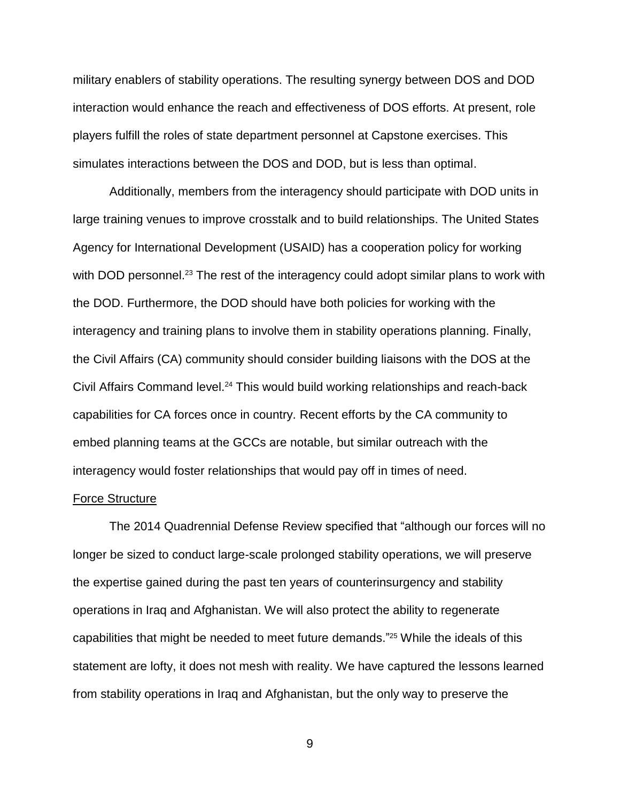military enablers of stability operations. The resulting synergy between DOS and DOD interaction would enhance the reach and effectiveness of DOS efforts. At present, role players fulfill the roles of state department personnel at Capstone exercises. This simulates interactions between the DOS and DOD, but is less than optimal.

Additionally, members from the interagency should participate with DOD units in large training venues to improve crosstalk and to build relationships. The United States Agency for International Development (USAID) has a cooperation policy for working with DOD personnel.<sup>23</sup> The rest of the interagency could adopt similar plans to work with the DOD. Furthermore, the DOD should have both policies for working with the interagency and training plans to involve them in stability operations planning. Finally, the Civil Affairs (CA) community should consider building liaisons with the DOS at the Civil Affairs Command level.<sup>24</sup> This would build working relationships and reach-back capabilities for CA forces once in country. Recent efforts by the CA community to embed planning teams at the GCCs are notable, but similar outreach with the interagency would foster relationships that would pay off in times of need.

### Force Structure

The 2014 Quadrennial Defense Review specified that "although our forces will no longer be sized to conduct large-scale prolonged stability operations, we will preserve the expertise gained during the past ten years of counterinsurgency and stability operations in Iraq and Afghanistan. We will also protect the ability to regenerate capabilities that might be needed to meet future demands." <sup>25</sup> While the ideals of this statement are lofty, it does not mesh with reality. We have captured the lessons learned from stability operations in Iraq and Afghanistan, but the only way to preserve the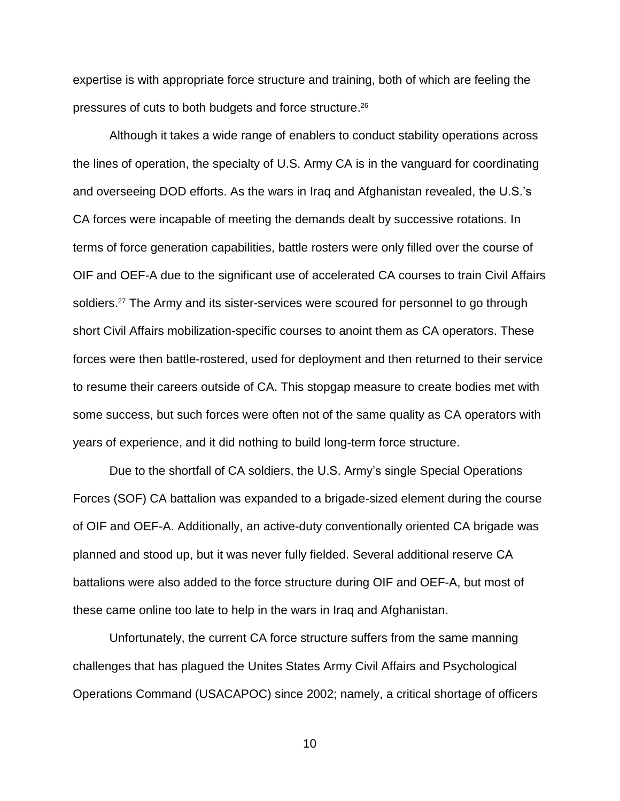expertise is with appropriate force structure and training, both of which are feeling the pressures of cuts to both budgets and force structure. 26

Although it takes a wide range of enablers to conduct stability operations across the lines of operation, the specialty of U.S. Army CA is in the vanguard for coordinating and overseeing DOD efforts. As the wars in Iraq and Afghanistan revealed, the U.S.'s CA forces were incapable of meeting the demands dealt by successive rotations. In terms of force generation capabilities, battle rosters were only filled over the course of OIF and OEF-A due to the significant use of accelerated CA courses to train Civil Affairs soldiers.<sup>27</sup> The Army and its sister-services were scoured for personnel to go through short Civil Affairs mobilization-specific courses to anoint them as CA operators. These forces were then battle-rostered, used for deployment and then returned to their service to resume their careers outside of CA. This stopgap measure to create bodies met with some success, but such forces were often not of the same quality as CA operators with years of experience, and it did nothing to build long-term force structure.

Due to the shortfall of CA soldiers, the U.S. Army's single Special Operations Forces (SOF) CA battalion was expanded to a brigade-sized element during the course of OIF and OEF-A. Additionally, an active-duty conventionally oriented CA brigade was planned and stood up, but it was never fully fielded. Several additional reserve CA battalions were also added to the force structure during OIF and OEF-A, but most of these came online too late to help in the wars in Iraq and Afghanistan.

Unfortunately, the current CA force structure suffers from the same manning challenges that has plagued the Unites States Army Civil Affairs and Psychological Operations Command (USACAPOC) since 2002; namely, a critical shortage of officers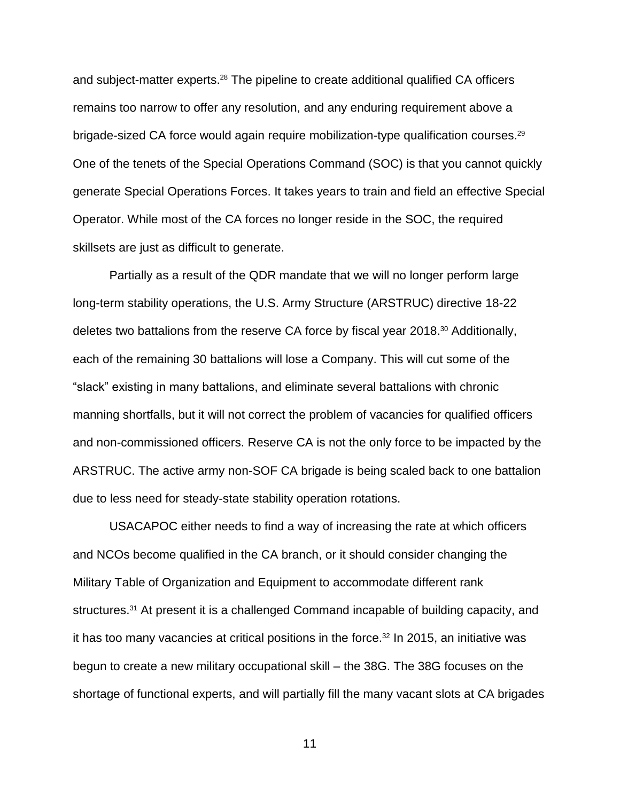and subject-matter experts.<sup>28</sup> The pipeline to create additional qualified CA officers remains too narrow to offer any resolution, and any enduring requirement above a brigade-sized CA force would again require mobilization-type qualification courses.<sup>29</sup> One of the tenets of the Special Operations Command (SOC) is that you cannot quickly generate Special Operations Forces. It takes years to train and field an effective Special Operator. While most of the CA forces no longer reside in the SOC, the required skillsets are just as difficult to generate.

Partially as a result of the QDR mandate that we will no longer perform large long-term stability operations, the U.S. Army Structure (ARSTRUC) directive 18-22 deletes two battalions from the reserve CA force by fiscal year 2018. <sup>30</sup> Additionally, each of the remaining 30 battalions will lose a Company. This will cut some of the "slack" existing in many battalions, and eliminate several battalions with chronic manning shortfalls, but it will not correct the problem of vacancies for qualified officers and non-commissioned officers. Reserve CA is not the only force to be impacted by the ARSTRUC. The active army non-SOF CA brigade is being scaled back to one battalion due to less need for steady-state stability operation rotations.

USACAPOC either needs to find a way of increasing the rate at which officers and NCOs become qualified in the CA branch, or it should consider changing the Military Table of Organization and Equipment to accommodate different rank structures.<sup>31</sup> At present it is a challenged Command incapable of building capacity, and it has too many vacancies at critical positions in the force. <sup>32</sup> In 2015, an initiative was begun to create a new military occupational skill – the 38G. The 38G focuses on the shortage of functional experts, and will partially fill the many vacant slots at CA brigades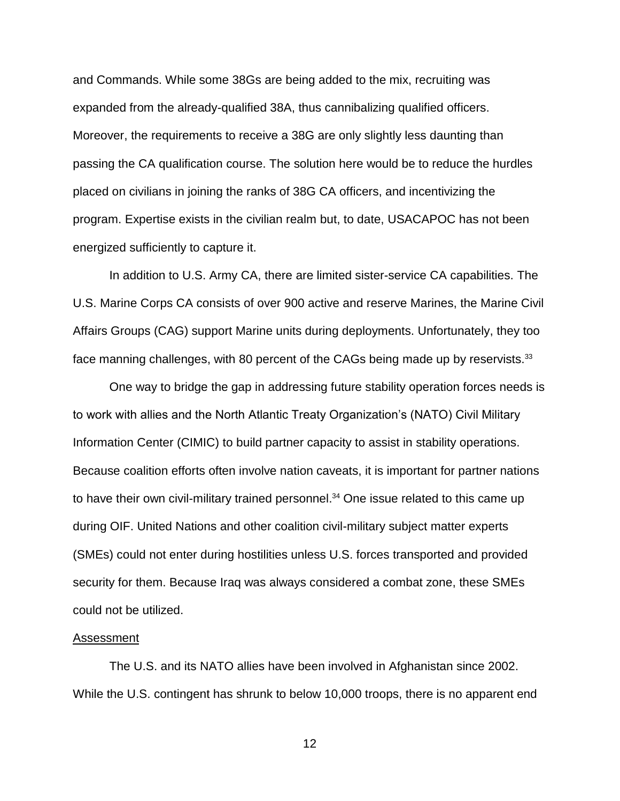and Commands. While some 38Gs are being added to the mix, recruiting was expanded from the already-qualified 38A, thus cannibalizing qualified officers. Moreover, the requirements to receive a 38G are only slightly less daunting than passing the CA qualification course. The solution here would be to reduce the hurdles placed on civilians in joining the ranks of 38G CA officers, and incentivizing the program. Expertise exists in the civilian realm but, to date, USACAPOC has not been energized sufficiently to capture it.

In addition to U.S. Army CA, there are limited sister-service CA capabilities. The U.S. Marine Corps CA consists of over 900 active and reserve Marines, the Marine Civil Affairs Groups (CAG) support Marine units during deployments. Unfortunately, they too face manning challenges, with 80 percent of the CAGs being made up by reservists.<sup>33</sup>

One way to bridge the gap in addressing future stability operation forces needs is to work with allies and the North Atlantic Treaty Organization's (NATO) Civil Military Information Center (CIMIC) to build partner capacity to assist in stability operations. Because coalition efforts often involve nation caveats, it is important for partner nations to have their own civil-military trained personnel. <sup>34</sup> One issue related to this came up during OIF. United Nations and other coalition civil-military subject matter experts (SMEs) could not enter during hostilities unless U.S. forces transported and provided security for them. Because Iraq was always considered a combat zone, these SMEs could not be utilized.

### **Assessment**

The U.S. and its NATO allies have been involved in Afghanistan since 2002. While the U.S. contingent has shrunk to below 10,000 troops, there is no apparent end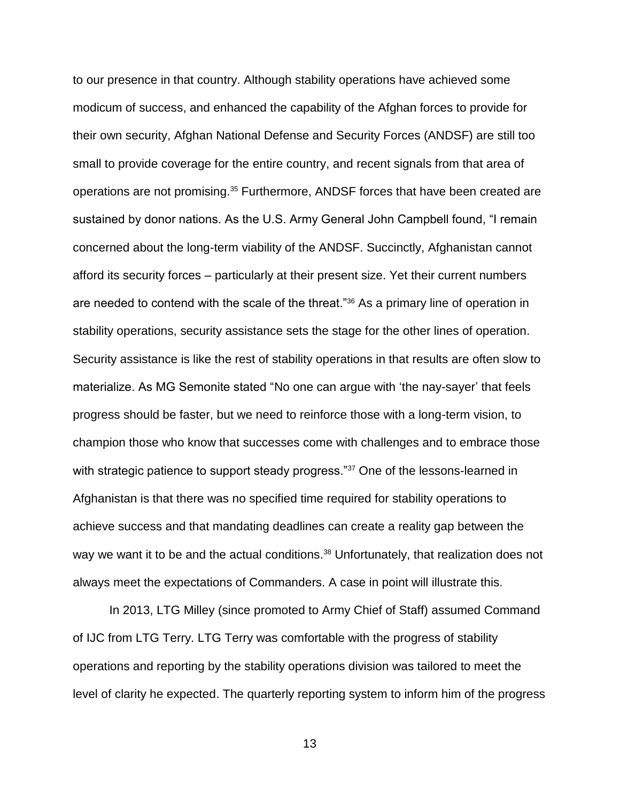to our presence in that country. Although stability operations have achieved some modicum of success, and enhanced the capability of the Afghan forces to provide for their own security, Afghan National Defense and Security Forces (ANDSF) are still too small to provide coverage for the entire country, and recent signals from that area of operations are not promising.<sup>35</sup> Furthermore, ANDSF forces that have been created are sustained by donor nations. As the U.S. Army General John Campbell found, "I remain concerned about the long-term viability of the ANDSF. Succinctly, Afghanistan cannot afford its security forces – particularly at their present size. Yet their current numbers are needed to contend with the scale of the threat."<sup>36</sup> As a primary line of operation in stability operations, security assistance sets the stage for the other lines of operation. Security assistance is like the rest of stability operations in that results are often slow to materialize. As MG Semonite stated "No one can argue with 'the nay-sayer' that feels progress should be faster, but we need to reinforce those with a long-term vision, to champion those who know that successes come with challenges and to embrace those with strategic patience to support steady progress."<sup>37</sup> One of the lessons-learned in Afghanistan is that there was no specified time required for stability operations to achieve success and that mandating deadlines can create a reality gap between the way we want it to be and the actual conditions.<sup>38</sup> Unfortunately, that realization does not always meet the expectations of Commanders. A case in point will illustrate this.

In 2013, LTG Milley (since promoted to Army Chief of Staff) assumed Command of IJC from LTG Terry. LTG Terry was comfortable with the progress of stability operations and reporting by the stability operations division was tailored to meet the level of clarity he expected. The quarterly reporting system to inform him of the progress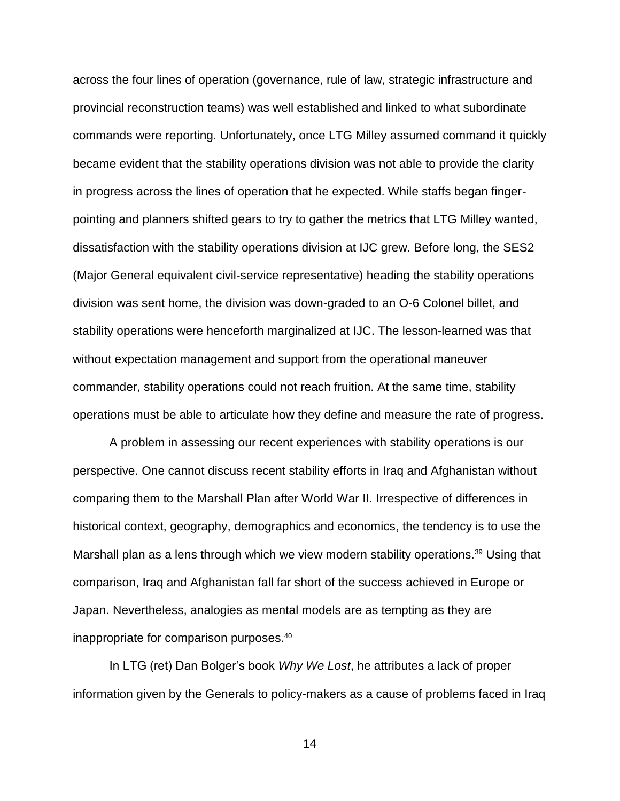across the four lines of operation (governance, rule of law, strategic infrastructure and provincial reconstruction teams) was well established and linked to what subordinate commands were reporting. Unfortunately, once LTG Milley assumed command it quickly became evident that the stability operations division was not able to provide the clarity in progress across the lines of operation that he expected. While staffs began fingerpointing and planners shifted gears to try to gather the metrics that LTG Milley wanted, dissatisfaction with the stability operations division at IJC grew. Before long, the SES2 (Major General equivalent civil-service representative) heading the stability operations division was sent home, the division was down-graded to an O-6 Colonel billet, and stability operations were henceforth marginalized at IJC. The lesson-learned was that without expectation management and support from the operational maneuver commander, stability operations could not reach fruition. At the same time, stability operations must be able to articulate how they define and measure the rate of progress.

A problem in assessing our recent experiences with stability operations is our perspective. One cannot discuss recent stability efforts in Iraq and Afghanistan without comparing them to the Marshall Plan after World War II. Irrespective of differences in historical context, geography, demographics and economics, the tendency is to use the Marshall plan as a lens through which we view modern stability operations.<sup>39</sup> Using that comparison, Iraq and Afghanistan fall far short of the success achieved in Europe or Japan. Nevertheless, analogies as mental models are as tempting as they are inappropriate for comparison purposes.<sup>40</sup>

In LTG (ret) Dan Bolger's book *Why We Lost*, he attributes a lack of proper information given by the Generals to policy-makers as a cause of problems faced in Iraq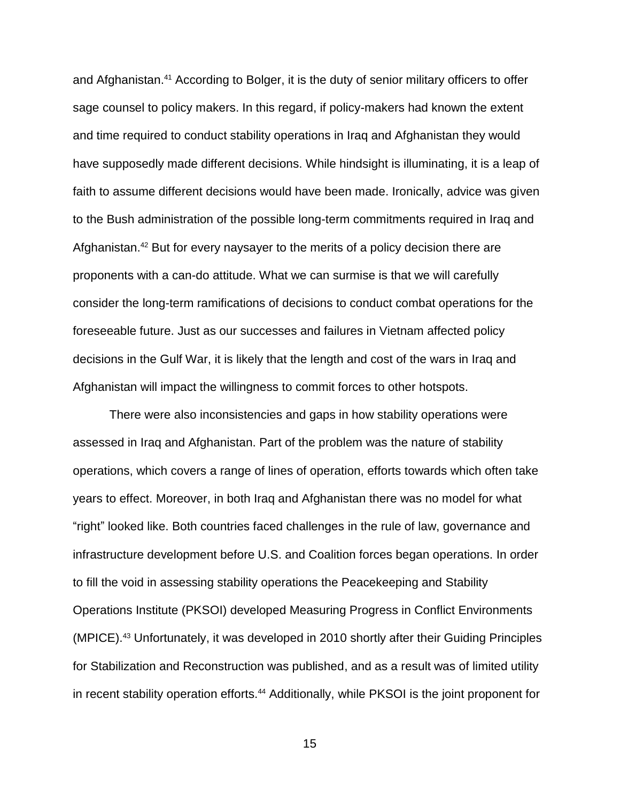and Afghanistan.<sup>41</sup> According to Bolger, it is the duty of senior military officers to offer sage counsel to policy makers. In this regard, if policy-makers had known the extent and time required to conduct stability operations in Iraq and Afghanistan they would have supposedly made different decisions. While hindsight is illuminating, it is a leap of faith to assume different decisions would have been made. Ironically, advice was given to the Bush administration of the possible long-term commitments required in Iraq and Afghanistan.<sup>42</sup> But for every naysayer to the merits of a policy decision there are proponents with a can-do attitude. What we can surmise is that we will carefully consider the long-term ramifications of decisions to conduct combat operations for the foreseeable future. Just as our successes and failures in Vietnam affected policy decisions in the Gulf War, it is likely that the length and cost of the wars in Iraq and Afghanistan will impact the willingness to commit forces to other hotspots.

There were also inconsistencies and gaps in how stability operations were assessed in Iraq and Afghanistan. Part of the problem was the nature of stability operations, which covers a range of lines of operation, efforts towards which often take years to effect. Moreover, in both Iraq and Afghanistan there was no model for what "right" looked like. Both countries faced challenges in the rule of law, governance and infrastructure development before U.S. and Coalition forces began operations. In order to fill the void in assessing stability operations the Peacekeeping and Stability Operations Institute (PKSOI) developed Measuring Progress in Conflict Environments (MPICE).<sup>43</sup> Unfortunately, it was developed in 2010 shortly after their Guiding Principles for Stabilization and Reconstruction was published, and as a result was of limited utility in recent stability operation efforts.<sup>44</sup> Additionally, while PKSOI is the joint proponent for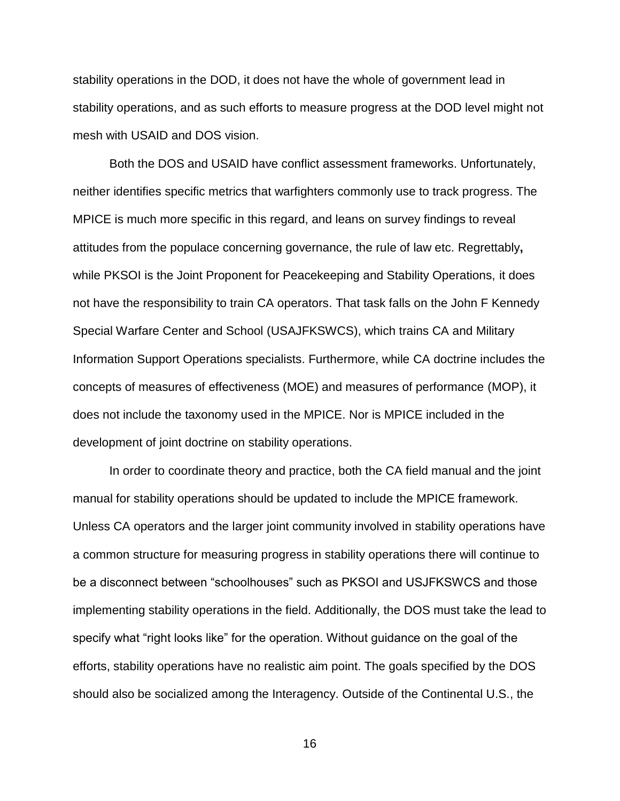stability operations in the DOD, it does not have the whole of government lead in stability operations, and as such efforts to measure progress at the DOD level might not mesh with USAID and DOS vision.

Both the DOS and USAID have conflict assessment frameworks. Unfortunately, neither identifies specific metrics that warfighters commonly use to track progress. The MPICE is much more specific in this regard, and leans on survey findings to reveal attitudes from the populace concerning governance, the rule of law etc. Regrettably**,** while PKSOI is the Joint Proponent for Peacekeeping and Stability Operations, it does not have the responsibility to train CA operators. That task falls on the John F Kennedy Special Warfare Center and School (USAJFKSWCS), which trains CA and Military Information Support Operations specialists. Furthermore, while CA doctrine includes the concepts of measures of effectiveness (MOE) and measures of performance (MOP), it does not include the taxonomy used in the MPICE. Nor is MPICE included in the development of joint doctrine on stability operations.

In order to coordinate theory and practice, both the CA field manual and the joint manual for stability operations should be updated to include the MPICE framework. Unless CA operators and the larger joint community involved in stability operations have a common structure for measuring progress in stability operations there will continue to be a disconnect between "schoolhouses" such as PKSOI and USJFKSWCS and those implementing stability operations in the field. Additionally, the DOS must take the lead to specify what "right looks like" for the operation. Without guidance on the goal of the efforts, stability operations have no realistic aim point. The goals specified by the DOS should also be socialized among the Interagency. Outside of the Continental U.S., the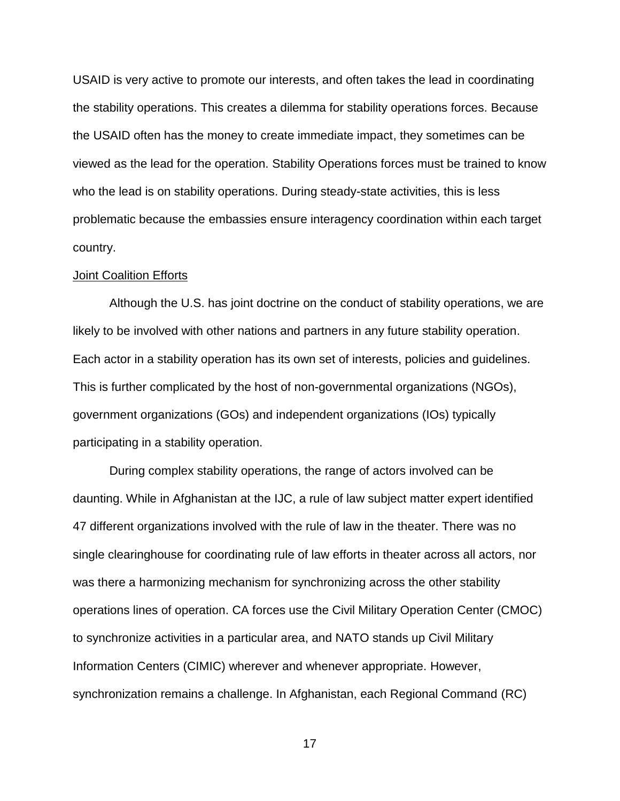USAID is very active to promote our interests, and often takes the lead in coordinating the stability operations. This creates a dilemma for stability operations forces. Because the USAID often has the money to create immediate impact, they sometimes can be viewed as the lead for the operation. Stability Operations forces must be trained to know who the lead is on stability operations. During steady-state activities, this is less problematic because the embassies ensure interagency coordination within each target country.

### Joint Coalition Efforts

Although the U.S. has joint doctrine on the conduct of stability operations, we are likely to be involved with other nations and partners in any future stability operation. Each actor in a stability operation has its own set of interests, policies and guidelines. This is further complicated by the host of non-governmental organizations (NGOs), government organizations (GOs) and independent organizations (IOs) typically participating in a stability operation.

During complex stability operations, the range of actors involved can be daunting. While in Afghanistan at the IJC, a rule of law subject matter expert identified 47 different organizations involved with the rule of law in the theater. There was no single clearinghouse for coordinating rule of law efforts in theater across all actors, nor was there a harmonizing mechanism for synchronizing across the other stability operations lines of operation. CA forces use the Civil Military Operation Center (CMOC) to synchronize activities in a particular area, and NATO stands up Civil Military Information Centers (CIMIC) wherever and whenever appropriate. However, synchronization remains a challenge. In Afghanistan, each Regional Command (RC)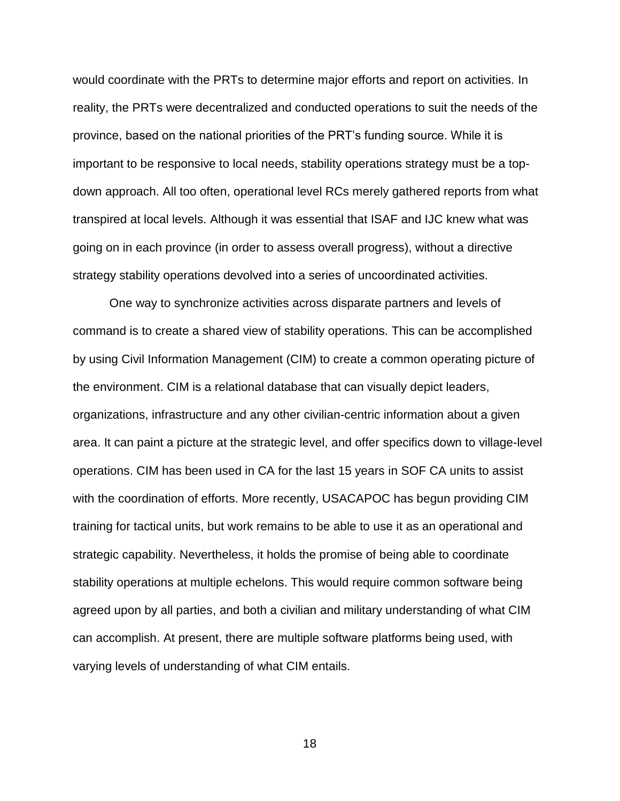would coordinate with the PRTs to determine major efforts and report on activities. In reality, the PRTs were decentralized and conducted operations to suit the needs of the province, based on the national priorities of the PRT's funding source. While it is important to be responsive to local needs, stability operations strategy must be a topdown approach. All too often, operational level RCs merely gathered reports from what transpired at local levels. Although it was essential that ISAF and IJC knew what was going on in each province (in order to assess overall progress), without a directive strategy stability operations devolved into a series of uncoordinated activities.

One way to synchronize activities across disparate partners and levels of command is to create a shared view of stability operations. This can be accomplished by using Civil Information Management (CIM) to create a common operating picture of the environment. CIM is a relational database that can visually depict leaders, organizations, infrastructure and any other civilian-centric information about a given area. It can paint a picture at the strategic level, and offer specifics down to village-level operations. CIM has been used in CA for the last 15 years in SOF CA units to assist with the coordination of efforts. More recently, USACAPOC has begun providing CIM training for tactical units, but work remains to be able to use it as an operational and strategic capability. Nevertheless, it holds the promise of being able to coordinate stability operations at multiple echelons. This would require common software being agreed upon by all parties, and both a civilian and military understanding of what CIM can accomplish. At present, there are multiple software platforms being used, with varying levels of understanding of what CIM entails.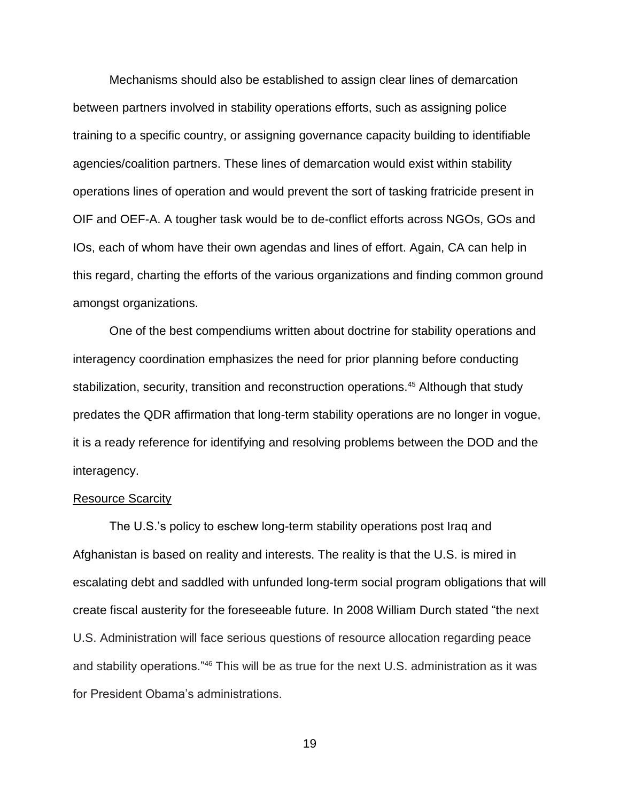Mechanisms should also be established to assign clear lines of demarcation between partners involved in stability operations efforts, such as assigning police training to a specific country, or assigning governance capacity building to identifiable agencies/coalition partners. These lines of demarcation would exist within stability operations lines of operation and would prevent the sort of tasking fratricide present in OIF and OEF-A. A tougher task would be to de-conflict efforts across NGOs, GOs and IOs, each of whom have their own agendas and lines of effort. Again, CA can help in this regard, charting the efforts of the various organizations and finding common ground amongst organizations.

One of the best compendiums written about doctrine for stability operations and interagency coordination emphasizes the need for prior planning before conducting stabilization, security, transition and reconstruction operations.<sup>45</sup> Although that study predates the QDR affirmation that long-term stability operations are no longer in vogue, it is a ready reference for identifying and resolving problems between the DOD and the interagency.

### Resource Scarcity

The U.S.'s policy to eschew long-term stability operations post Iraq and Afghanistan is based on reality and interests. The reality is that the U.S. is mired in escalating debt and saddled with unfunded long-term social program obligations that will create fiscal austerity for the foreseeable future. In 2008 William Durch stated "the next U.S. Administration will face serious questions of resource allocation regarding peace and stability operations."<sup>46</sup> This will be as true for the next U.S. administration as it was for President Obama's administrations.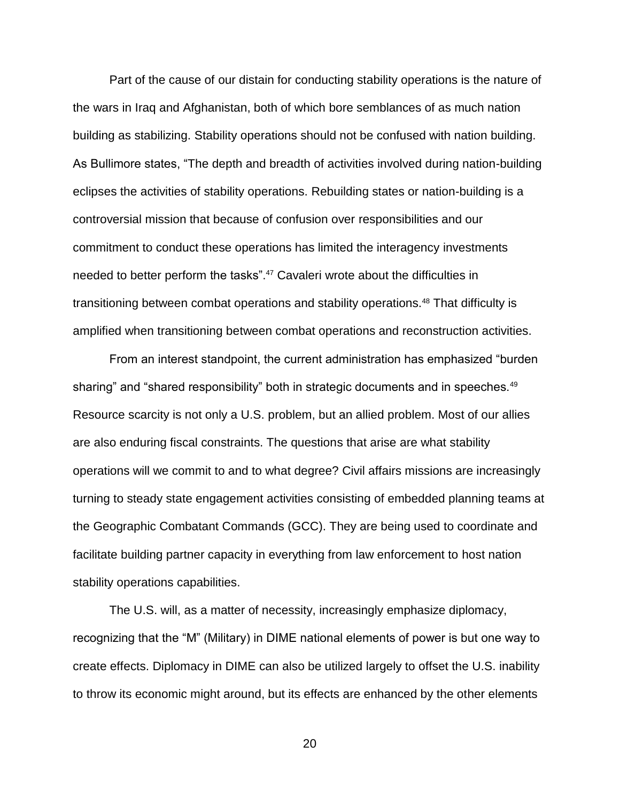Part of the cause of our distain for conducting stability operations is the nature of the wars in Iraq and Afghanistan, both of which bore semblances of as much nation building as stabilizing. Stability operations should not be confused with nation building. As Bullimore states, "The depth and breadth of activities involved during nation-building eclipses the activities of stability operations. Rebuilding states or nation-building is a controversial mission that because of confusion over responsibilities and our commitment to conduct these operations has limited the interagency investments needed to better perform the tasks". <sup>47</sup> Cavaleri wrote about the difficulties in transitioning between combat operations and stability operations.<sup>48</sup> That difficulty is amplified when transitioning between combat operations and reconstruction activities.

From an interest standpoint, the current administration has emphasized "burden sharing" and "shared responsibility" both in strategic documents and in speeches.<sup>49</sup> Resource scarcity is not only a U.S. problem, but an allied problem. Most of our allies are also enduring fiscal constraints. The questions that arise are what stability operations will we commit to and to what degree? Civil affairs missions are increasingly turning to steady state engagement activities consisting of embedded planning teams at the Geographic Combatant Commands (GCC). They are being used to coordinate and facilitate building partner capacity in everything from law enforcement to host nation stability operations capabilities.

The U.S. will, as a matter of necessity, increasingly emphasize diplomacy, recognizing that the "M" (Military) in DIME national elements of power is but one way to create effects. Diplomacy in DIME can also be utilized largely to offset the U.S. inability to throw its economic might around, but its effects are enhanced by the other elements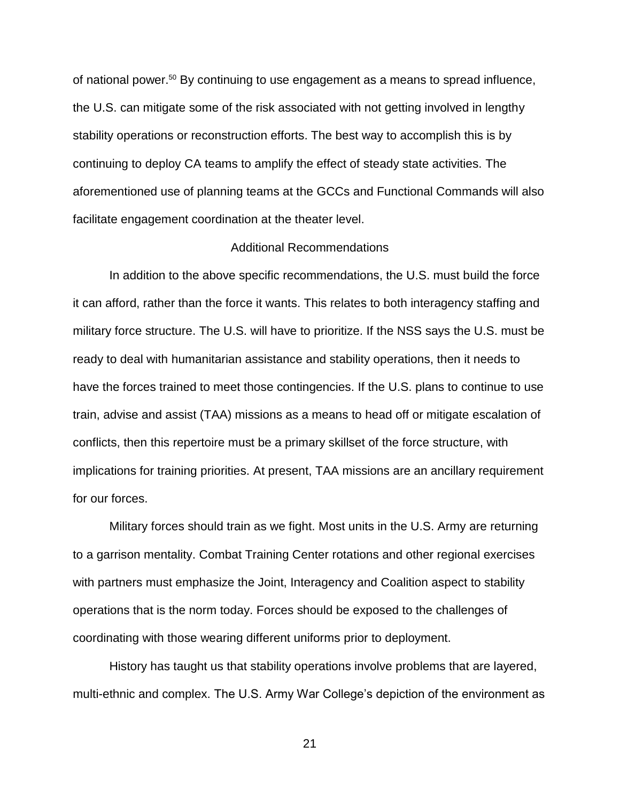of national power.<sup>50</sup> By continuing to use engagement as a means to spread influence, the U.S. can mitigate some of the risk associated with not getting involved in lengthy stability operations or reconstruction efforts. The best way to accomplish this is by continuing to deploy CA teams to amplify the effect of steady state activities. The aforementioned use of planning teams at the GCCs and Functional Commands will also facilitate engagement coordination at the theater level.

# Additional Recommendations

In addition to the above specific recommendations, the U.S. must build the force it can afford, rather than the force it wants. This relates to both interagency staffing and military force structure. The U.S. will have to prioritize. If the NSS says the U.S. must be ready to deal with humanitarian assistance and stability operations, then it needs to have the forces trained to meet those contingencies. If the U.S. plans to continue to use train, advise and assist (TAA) missions as a means to head off or mitigate escalation of conflicts, then this repertoire must be a primary skillset of the force structure, with implications for training priorities. At present, TAA missions are an ancillary requirement for our forces.

Military forces should train as we fight. Most units in the U.S. Army are returning to a garrison mentality. Combat Training Center rotations and other regional exercises with partners must emphasize the Joint, Interagency and Coalition aspect to stability operations that is the norm today. Forces should be exposed to the challenges of coordinating with those wearing different uniforms prior to deployment.

History has taught us that stability operations involve problems that are layered, multi-ethnic and complex. The U.S. Army War College's depiction of the environment as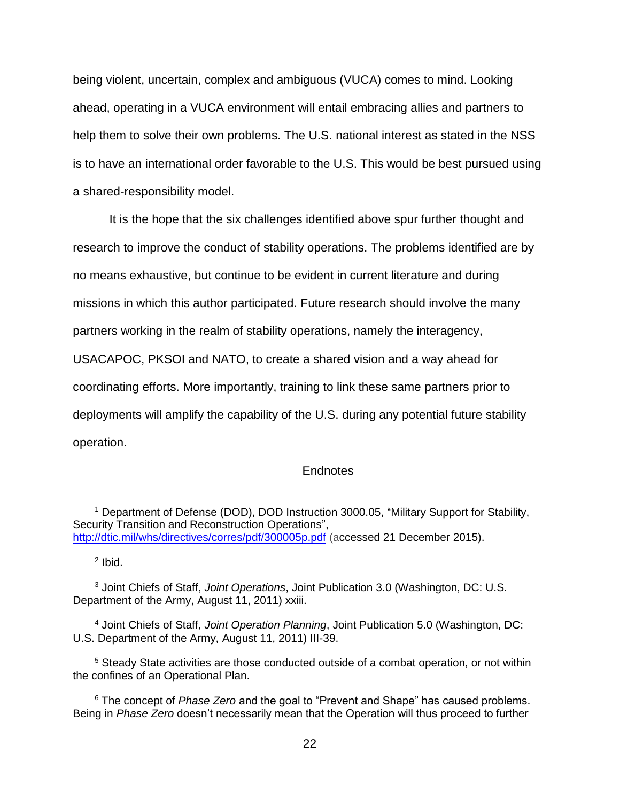being violent, uncertain, complex and ambiguous (VUCA) comes to mind. Looking ahead, operating in a VUCA environment will entail embracing allies and partners to help them to solve their own problems. The U.S. national interest as stated in the NSS is to have an international order favorable to the U.S. This would be best pursued using a shared-responsibility model.

It is the hope that the six challenges identified above spur further thought and research to improve the conduct of stability operations. The problems identified are by no means exhaustive, but continue to be evident in current literature and during missions in which this author participated. Future research should involve the many partners working in the realm of stability operations, namely the interagency, USACAPOC, PKSOI and NATO, to create a shared vision and a way ahead for coordinating efforts. More importantly, training to link these same partners prior to deployments will amplify the capability of the U.S. during any potential future stability operation.

### **Endnotes**

<sup>1</sup> Department of Defense (DOD), DOD Instruction 3000.05, "Military Support for Stability, Security Transition and Reconstruction Operations", <http://dtic.mil/whs/directives/corres/pdf/300005p.pdf> (accessed 21 December 2015).

 $2$  Ibid.

<sup>3</sup> Joint Chiefs of Staff, *Joint Operations*, Joint Publication 3.0 (Washington, DC: U.S. Department of the Army, August 11, 2011) xxiii.

<sup>4</sup> Joint Chiefs of Staff, *Joint Operation Planning*, Joint Publication 5.0 (Washington, DC: U.S. Department of the Army, August 11, 2011) III-39.

 $5$  Steady State activities are those conducted outside of a combat operation, or not within the confines of an Operational Plan.

<sup>6</sup> The concept of *Phase Zero* and the goal to "Prevent and Shape" has caused problems. Being in *Phase Zero* doesn't necessarily mean that the Operation will thus proceed to further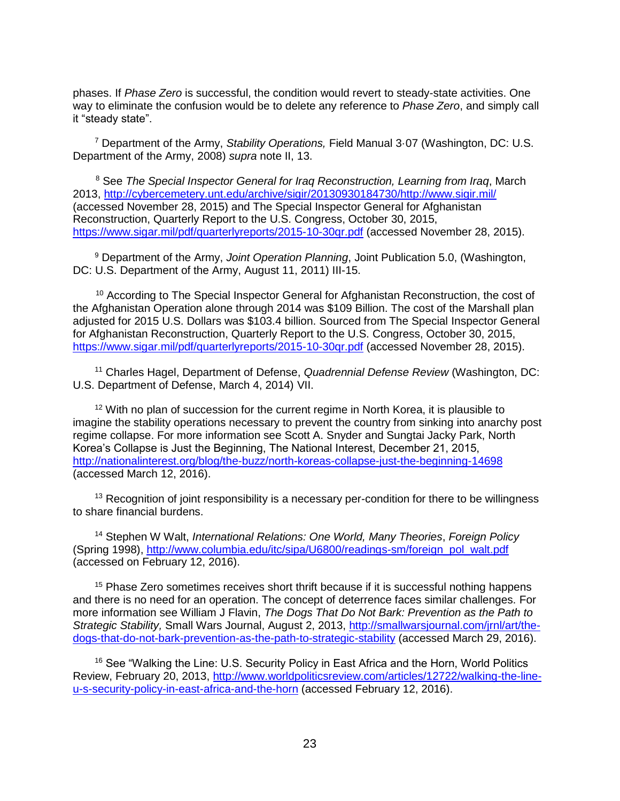phases. If *Phase Zero* is successful, the condition would revert to steady-state activities. One way to eliminate the confusion would be to delete any reference to *Phase Zero*, and simply call it "steady state".

<sup>7</sup> Department of the Army, *Stability Operations,* Field Manual 3·07 (Washington, DC: U.S. Department of the Army, 2008) *supra* note II, 13.

<sup>8</sup> See *The Special Inspector General for Iraq Reconstruction, Learning from Iraq*, March 2013, [http://cybercemetery.unt.edu/archive/sigir/20130930184730/http://www.sigir.mil/](http://cybercemetery.unt.edu/archive/sigir/20130930184730/http:/www.sigir.mil/) (accessed November 28, 2015) and The Special Inspector General for Afghanistan Reconstruction, Quarterly Report to the U.S. Congress, October 30, 2015, <https://www.sigar.mil/pdf/quarterlyreports/2015-10-30qr.pdf> (accessed November 28, 2015).

<sup>9</sup> Department of the Army, *Joint Operation Planning*, Joint Publication 5.0, (Washington, DC: U.S. Department of the Army, August 11, 2011) III-15.

<sup>10</sup> According to The Special Inspector General for Afghanistan Reconstruction, the cost of the Afghanistan Operation alone through 2014 was \$109 Billion. The cost of the Marshall plan adjusted for 2015 U.S. Dollars was \$103.4 billion. Sourced from The Special Inspector General for Afghanistan Reconstruction, Quarterly Report to the U.S. Congress, October 30, 2015, <https://www.sigar.mil/pdf/quarterlyreports/2015-10-30qr.pdf> (accessed November 28, 2015).

<sup>11</sup> Charles Hagel, Department of Defense, *Quadrennial Defense Review* (Washington, DC: U.S. Department of Defense, March 4, 2014) VII.

 $12$  With no plan of succession for the current regime in North Korea, it is plausible to imagine the stability operations necessary to prevent the country from sinking into anarchy post regime collapse. For more information see Scott A. Snyder and Sungtai Jacky Park, North Korea's Collapse is Just the Beginning, The National Interest, December 21, 2015, <http://nationalinterest.org/blog/the-buzz/north-koreas-collapse-just-the-beginning-14698> (accessed March 12, 2016).

 $13$  Recognition of joint responsibility is a necessary per-condition for there to be willingness to share financial burdens.

<sup>14</sup> Stephen W Walt, *International Relations: One World, Many Theories*, *Foreign Policy* (Spring 1998), [http://www.columbia.edu/itc/sipa/U6800/readings-sm/foreign\\_pol\\_walt.pdf](http://www.columbia.edu/itc/sipa/U6800/readings-sm/foreign_pol_walt.pdf) (accessed on February 12, 2016).

<sup>15</sup> Phase Zero sometimes receives short thrift because if it is successful nothing happens and there is no need for an operation. The concept of deterrence faces similar challenges. For more information see William J Flavin, *The Dogs That Do Not Bark: Prevention as the Path to Strategic Stability,* Small Wars Journal, August 2, 2013, [http://smallwarsjournal.com/jrnl/art/the](http://smallwarsjournal.com/jrnl/art/the-dogs-that-do-not-bark-prevention-as-the-path-to-strategic-stability)[dogs-that-do-not-bark-prevention-as-the-path-to-strategic-stability](http://smallwarsjournal.com/jrnl/art/the-dogs-that-do-not-bark-prevention-as-the-path-to-strategic-stability) (accessed March 29, 2016).

<sup>16</sup> See "Walking the Line: U.S. Security Policy in East Africa and the Horn, World Politics Review, February 20, 2013, [http://www.worldpoliticsreview.com/articles/12722/walking-the-line](http://www.worldpoliticsreview.com/articles/12722/walking-the-line-u-s-security-policy-in-east-africa-and-the-horn)[u-s-security-policy-in-east-africa-and-the-horn](http://www.worldpoliticsreview.com/articles/12722/walking-the-line-u-s-security-policy-in-east-africa-and-the-horn) (accessed February 12, 2016).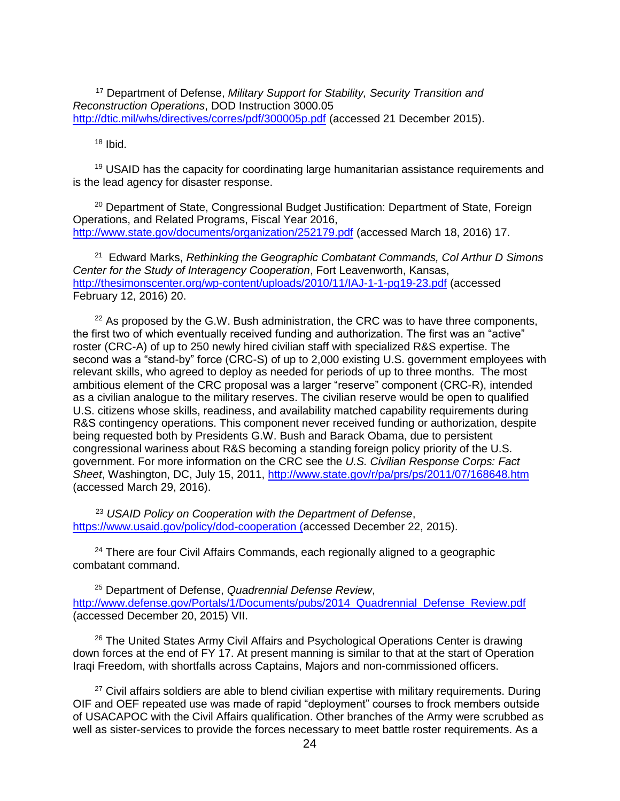<sup>17</sup> Department of Defense, *Military Support for Stability, Security Transition and Reconstruction Operations*, DOD Instruction 3000.05 <http://dtic.mil/whs/directives/corres/pdf/300005p.pdf> (accessed 21 December 2015).

 $18$  Ibid.

<sup>19</sup> USAID has the capacity for coordinating large humanitarian assistance requirements and is the lead agency for disaster response.

<sup>20</sup> Department of State, Congressional Budget Justification: Department of State, Foreign Operations, and Related Programs, Fiscal Year 2016, <http://www.state.gov/documents/organization/252179.pdf> (accessed March 18, 2016) 17.

21 Edward Marks, *Rethinking the Geographic Combatant Commands, Col Arthur D Simons Center for the Study of Interagency Cooperation*, Fort Leavenworth, Kansas, <http://thesimonscenter.org/wp-content/uploads/2010/11/IAJ-1-1-pg19-23.pdf> (accessed February 12, 2016) 20.

 $22$  As proposed by the G.W. Bush administration, the CRC was to have three components, the first two of which eventually received funding and authorization. The first was an "active" roster (CRC-A) of up to 250 newly hired civilian staff with specialized R&S expertise. The second was a "stand-by" force (CRC-S) of up to 2,000 existing U.S. government employees with relevant skills, who agreed to deploy as needed for periods of up to three months. The most ambitious element of the CRC proposal was a larger "reserve" component (CRC-R), intended as a civilian analogue to the military reserves. The civilian reserve would be open to qualified U.S. citizens whose skills, readiness, and availability matched capability requirements during R&S contingency operations. This component never received funding or authorization, despite being requested both by Presidents G.W. Bush and Barack Obama, due to persistent congressional wariness about R&S becoming a standing foreign policy priority of the U.S. government. For more information on the CRC see the *U.S. Civilian Response Corps: Fact Sheet*, Washington, DC, July 15, 2011,<http://www.state.gov/r/pa/prs/ps/2011/07/168648.htm> (accessed March 29, 2016).

<sup>23</sup> *USAID Policy on Cooperation with the Department of Defense*, <https://www.usaid.gov/policy/dod-cooperation> (accessed December 22, 2015).

<sup>24</sup> There are four Civil Affairs Commands, each regionally aligned to a geographic combatant command.

<sup>25</sup> Department of Defense, *Quadrennial Defense Review*, http://www.defense.gov/Portals/1/Documents/pubs/2014 Quadrennial Defense Review.pdf (accessed December 20, 2015) VII.

<sup>26</sup> The United States Army Civil Affairs and Psychological Operations Center is drawing down forces at the end of FY 17. At present manning is similar to that at the start of Operation Iraqi Freedom, with shortfalls across Captains, Majors and non-commissioned officers.

 $27$  Civil affairs soldiers are able to blend civilian expertise with military requirements. During OIF and OEF repeated use was made of rapid "deployment" courses to frock members outside of USACAPOC with the Civil Affairs qualification. Other branches of the Army were scrubbed as well as sister-services to provide the forces necessary to meet battle roster requirements. As a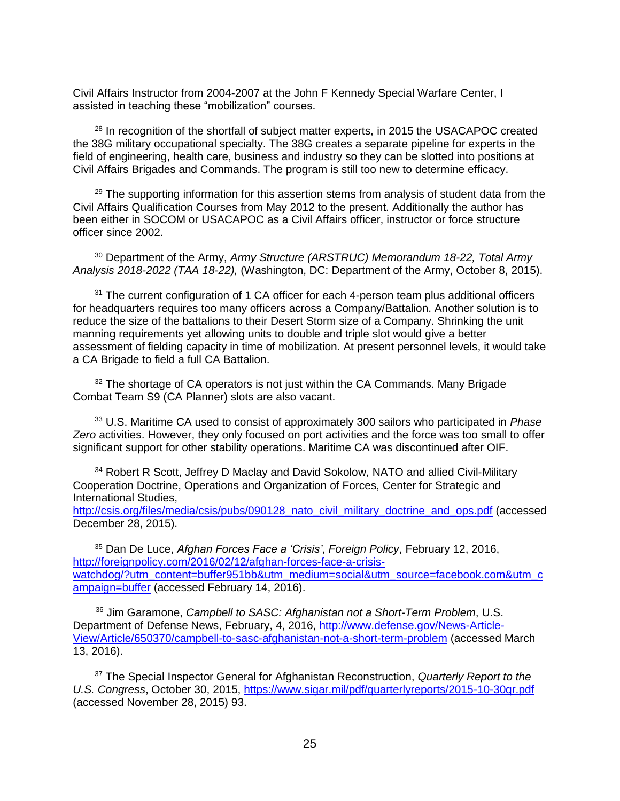Civil Affairs Instructor from 2004-2007 at the John F Kennedy Special Warfare Center, I assisted in teaching these "mobilization" courses.

<sup>28</sup> In recognition of the shortfall of subject matter experts, in 2015 the USACAPOC created the 38G military occupational specialty. The 38G creates a separate pipeline for experts in the field of engineering, health care, business and industry so they can be slotted into positions at Civil Affairs Brigades and Commands. The program is still too new to determine efficacy.

 $29$  The supporting information for this assertion stems from analysis of student data from the Civil Affairs Qualification Courses from May 2012 to the present. Additionally the author has been either in SOCOM or USACAPOC as a Civil Affairs officer, instructor or force structure officer since 2002.

<sup>30</sup> Department of the Army, *Army Structure (ARSTRUC) Memorandum 18-22, Total Army Analysis 2018-2022 (TAA 18-22),* (Washington, DC: Department of the Army, October 8, 2015).

<sup>31</sup> The current configuration of 1 CA officer for each 4-person team plus additional officers for headquarters requires too many officers across a Company/Battalion. Another solution is to reduce the size of the battalions to their Desert Storm size of a Company. Shrinking the unit manning requirements yet allowing units to double and triple slot would give a better assessment of fielding capacity in time of mobilization. At present personnel levels, it would take a CA Brigade to field a full CA Battalion.

<sup>32</sup> The shortage of CA operators is not just within the CA Commands. Many Brigade Combat Team S9 (CA Planner) slots are also vacant.

<sup>33</sup> U.S. Maritime CA used to consist of approximately 300 sailors who participated in *Phase Zero* activities. However, they only focused on port activities and the force was too small to offer significant support for other stability operations. Maritime CA was discontinued after OIF.

<sup>34</sup> Robert R Scott, Jeffrey D Maclay and David Sokolow, NATO and allied Civil-Military Cooperation Doctrine, Operations and Organization of Forces, Center for Strategic and International Studies, [http://csis.org/files/media/csis/pubs/090128\\_nato\\_civil\\_military\\_doctrine\\_and\\_ops.pdf](http://csis.org/files/media/csis/pubs/090128_nato_civil_military_doctrine_and_ops.pdf) (accessed

December 28, 2015).

<sup>35</sup> Dan De Luce, *Afghan Forces Face a 'Crisis'*, *Foreign Policy*, February 12, 2016, [http://foreignpolicy.com/2016/02/12/afghan-forces-face-a-crisis](http://foreignpolicy.com/2016/02/12/afghan-forces-face-a-crisis-watchdog/?utm_content=buffer951bb&utm_medium=social&utm_source=facebook.com&utm_campaign=buffer)[watchdog/?utm\\_content=buffer951bb&utm\\_medium=social&utm\\_source=facebook.com&utm\\_c](http://foreignpolicy.com/2016/02/12/afghan-forces-face-a-crisis-watchdog/?utm_content=buffer951bb&utm_medium=social&utm_source=facebook.com&utm_campaign=buffer) [ampaign=buffer](http://foreignpolicy.com/2016/02/12/afghan-forces-face-a-crisis-watchdog/?utm_content=buffer951bb&utm_medium=social&utm_source=facebook.com&utm_campaign=buffer) (accessed February 14, 2016).

<sup>36</sup> Jim Garamone, *Campbell to SASC: Afghanistan not a Short-Term Problem*, U.S. Department of Defense News, February, 4, 2016, [http://www.defense.gov/News-Article-](http://www.defense.gov/News-Article-View/Article/650370/campbell-to-sasc-afghanistan-not-a-short-term-problem)[View/Article/650370/campbell-to-sasc-afghanistan-not-a-short-term-problem](http://www.defense.gov/News-Article-View/Article/650370/campbell-to-sasc-afghanistan-not-a-short-term-problem) (accessed March 13, 2016).

<sup>37</sup> The Special Inspector General for Afghanistan Reconstruction, *Quarterly Report to the U.S. Congress*, October 30, 2015,<https://www.sigar.mil/pdf/quarterlyreports/2015-10-30qr.pdf> (accessed November 28, 2015) 93.